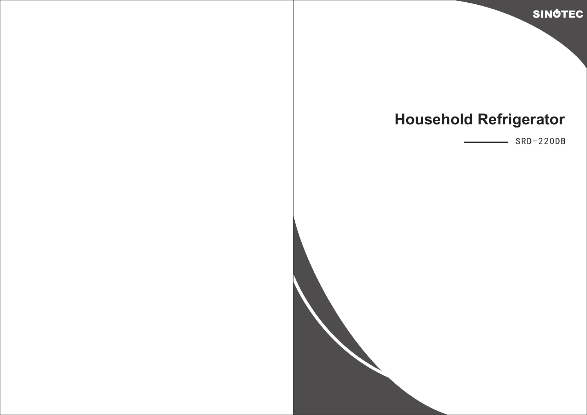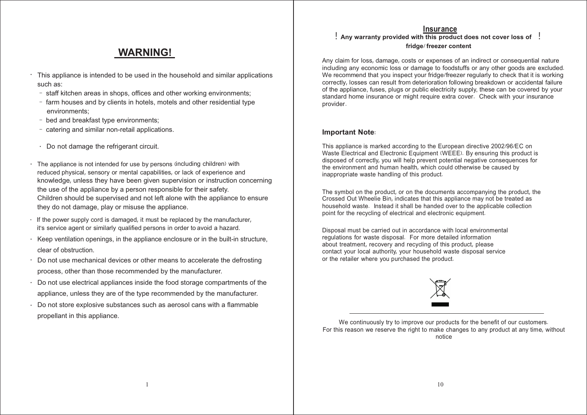#### **Insurance**

# **WARNING!**

- This appliance is intended to be used in the household and similar applications such as: ·
	- staff kitchen areas in shops, offices and other working environments;
	- farm houses and by clients in hotels, motels and other residential type environments;
	- bed and breakfast type environments;
	- catering and similar non-retail applications.
	- · Do not damage the refrigerant circuit.
- · The appliance is not intended for use by persons (including children) with reduced physical, sensory or mental capabilities, or lack of experience and knowledge, unless they have been given supervision or instruction concerning the use of the appliance by a person responsible for their safety. Children should be supervised and not left alone with the appliance to ensure they do not damage, play or misuse the appliance.
- · If the power supply cord is damaged, it must be replaced by the manufacturer, it's service agent or similarly qualified persons in order to avoid a hazard.
- · Keep ventilation openings, in the appliance enclosure or in the built-in structure, clear of obstruction.
- · Do not use mechanical devices or other means to accelerate the defrosting process, other than those recommended by the manufacturer.
- · Do not use electrical appliances inside the food storage compartments of the appliance, unless they are of the type recommended by the manufacturer.
- · Do not store explosive substances such as aerosol cans with a flammable propellant in this appliance.

### ! **Any warranty provided with this product does not cover loss of** ! **fridge**/**freezer content**.

Any claim for loss, damage, costs or expenses of an indirect or consequential nature including any economic loss or damage to foodstuffs or any other goods are excluded. We recommend that you inspect your fridge/freezer regularly to check that it is working correctly, losses can result from deterioration following breakdown or accidental failure of the appliance, fuses, plugs or public electricity supply, these can be covered by your standard home insurance or might require extra cover. Check with your insurance provider.

#### **Important Note**:

This appliance is marked according to the European directive 2002/96/EC on Waste Electrical and Electronic Equipment (WEEE). By ensuring this product is disposed of correctly, you will help prevent potential negative consequences for the environment and human health, which could otherwise be caused by inappropriate waste handling of this product.

The symbol on the product, or on the documents accompanying the product, the Crossed Out Wheelie Bin, indicates that this appliance may not be treated as household waste. Instead it shall be handed over to the applicable collection point for the recycling of electrical and electronic equipment.

Disposal must be carried out in accordance with local environmental regulations for waste disposal. For more detailed information about treatment, recovery and recycling of this product, please contact your local authority, your household waste disposal service or the retailer where you purchased the product.



We continuously try to improve our products for the benefit of our customers. For this reason we reserve the right to make changes to any product at any time, without notice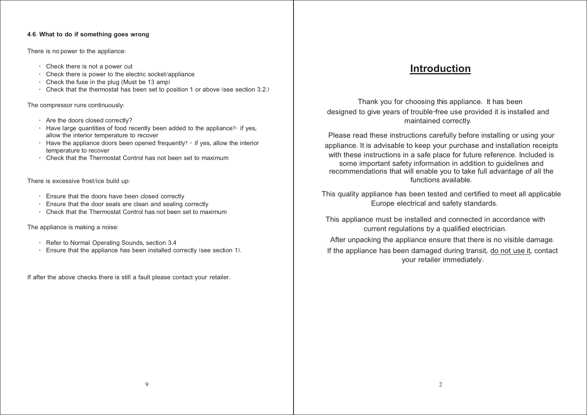#### **4**.**6**. **What to do if something goes wrong**

There is no power to the appliance:

- · Check there is not a power cut
- · Check there is power to the electric socket/appliance
- $\cdot$  Check the fuse in the plug (Must be 13 amp)
- · Check that the thermostat has been set to position 1 or above (see section 3.2.)

The compressor runs continuously:

- · Are the doors closed correctly?
- $\cdot$  Have large quantities of food recently been added to the appliance? if yes, allow the interior temperature to recover
- $\cdot$  Have the appliance doors been opened frequently? if yes, allow the interior temperature to recover
- · Check that the Thermostat Control has not been set to maximum

There is excessive frost/ice build up:

- · Ensure that the doors have been closed correctly
- · Ensure that the door seals are clean and sealing correctly
- · Check that the Thermostat Control has not been set to maximum

The appliance is making a noise:

- · Refer to Normal Operating Sounds, section 3.4
- · Ensure that the appliance has been installed correctly (see section 1).

If after the above checks there is still a fault please contact your retailer.

# **Introduction**

Thank you for choosing this appliance. It has been designed to give years of trouble-free use provided it is installed and maintained correctly.

Please read these instructions carefully before installing or using your appliance. It is advisable to keep your purchase and installation receipts with these instructions in a safe place for future reference. Included is some important safety information in addition to guidelines and recommendations that will enable you to take full advantage of all the functions available.

This quality appliance has been tested and certified to meet all applicable Europe electrical and safety standards.

This appliance must be installed and connected in accordance with current regulations by a qualified electrician.

After unpacking the appliance ensure that there is no visible damage. If the appliance has been damaged during transit, do not use it, contact your retailer immediately.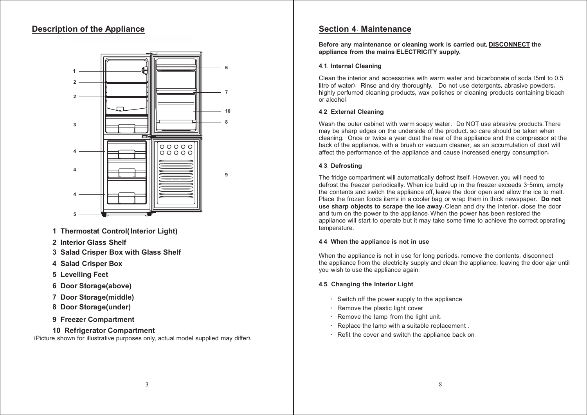# **Description of the Appliance**



- **1 Thermostat Control(Interior Light)**
- **2 Interior Glass Shelf**
- **3 Salad Crisper Box with Glass Shelf**
- **4 Salad Crisper Box**
- **5 Levelling Feet**
- **6 Door Storage(above)**
- **7 Door Storage(middle)**
- **8 Door Storage(under)**
- **9 Freezer Compartment**
- **10 Refrigerator Compartment**

(Picture shown for illustrative purposes only, actual model supplied may differ).

# **Section 4**. **Maintenance**

**Before any maintenance or cleaning work is carried out**, **DISCONNECT the appliance from the mains ELECTRICITY supply.**

## **4**.**1**. **Internal Cleaning**

Clean the interior and accessories with warm water and bicarbonate of soda (5ml to 0.5 litre of water). Rinse and dry thoroughly. Do not use detergents, abrasive powders, highly perfumed cleaning products, wax polishes or cleaning products containing bleach or alcohol.

# **4**.**2**. **External Cleaning**

Wash the outer cabinet with warm soapy water. Do NOT use abrasive products. There may be sharp edges on the underside of the product, so care should be taken when cleaning. Once or twice a year dust the rear of the appliance and the compressor at the back of the appliance, with a brush or vacuum cleaner, as an accumulation of dust will affect the performance of the appliance and cause increased energy consumption.

### **4**.**3**. **Defrosting**

The fridge compartment will automatically defrost itself. However, you will need to defrost the freezer periodically. When ice build up in the freezer exceeds 3-5mm, empty the contents and switch the appliance off, leave the door open and allow the ice to melt. Place the frozen foods items in a cooler bag or wrap them in thick newspaper. **Do not use sharp objects to scrape the ice away**. Clean and dry the interior, close the door and turn on the power to the appliance. When the power has been restored the appliance will start to operate but it may take some time to achieve the correct operating temperature.

### **4**.**4**. **When the appliance is not in use**

When the appliance is not in use for long periods, remove the contents, disconnect the appliance from the electricity supply and clean the appliance, leaving the door ajar until you wish to use the appliance again.

### **4**.**5**. **Changing the Interior Light**

- · Switch off the power supply to the appliance
- · Remove the plastic light cover
- · Remove the lamp from the light unit.
- · Replace the lamp with a suitable replacement .
- · Refit the cover and switch the appliance back on.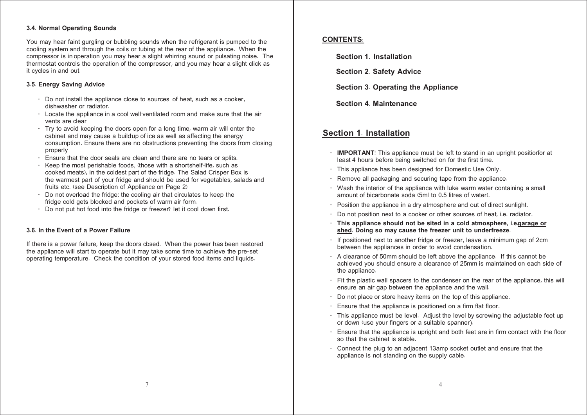#### **3**.**4**. **Normal Operating Sounds**

You may hear faint gurgling or bubbling sounds when the refrigerant is pumped to the cooling system and through the coils or tubing at the rear of the appliance. When the compressor is in operation you may hear a slight whirring sound or pulsating noise. The thermostat controls the operation of the compressor, and you may hear a slight click as it cycles in and out.

#### **3**.**5**. **Energy Saving Advice**

- · Do not install the appliance close to sources of heat, such as a cooker, dishwasher or radiator.
- · Locate the appliance in a cool well-ventilated room and make sure that the air vents are clear
- $\cdot$  Try to avoid keeping the doors open for a long time, warm air will enter the cabinet and may cause a build-up of ice as well as affecting the energy consumption. Ensure there are no obstructions preventing the doors from closing properly
- · Ensure that the door seals are clean and there are no tears or splits.
- Keep the most perishable foods, (those with a short shelf-life, such as cooked meats), in the coldest part of the fridge. The Salad Crisper Box is the warmest part of your fridge and should be used for vegetables, salads and fruits etc. (see Description of Appliance on Page 2)
- Do not overload the fridge: the cooling air that circulates to keep the fridge cold gets blocked and pockets of warm air form.
- Do not put hot food into the fridge or freezer? let it cool down first.

#### **3**.**6**. **In the Event of a Power Failure**

If there is a power failure, keep the doors cbsed. When the power has been restored the appliance will start to operate but it may take some time to achieve the pre-set operating temperature. Check the condition of your stored food items and liquids.

### **CONTENTS**:

**Section 1**. **Installation**

**Section 2**. **Safety Advice**

**Section 3**. **Operating the Appliance**

**Section 4**. **Maintenance**

# **Section 1**. **Installation**

- · **IMPORTANT**! This appliance must be left to stand in an upright positionfor at least 4 hours before being switched on for the first time.
- · This appliance has been designed for Domestic Use Only.
- · Remove all packaging and securing tape from the appliance.
- · Wash the interior of the appliance with luke warm water containing a small amount of bicarbonate soda (5ml to 0.5 litres of water).
- · Position the appliance in a dry atmosphere and out of direct sunlight.
- · Do not position next to a cooker or other sources of heat, i.e. radiator.
- · **This appliance should not be sited in a cold atmosphere**, **i**.**e**.**garage or shed**. **Doing so may cause the freezer unit to underfreeze**.
- · If positioned next to another fridge or freezer, leave a minimum gap of 2cm between the appliances in order to avoid condensation.
- · A clearance of 50mm should be left above the appliance. If this cannot be achieved you should ensure a clearance of 25mm is maintained on each side of the appliance.
- · Fit the plastic wall spacers to the condenser on the rear of the appliance, this will ensure an air gap between the appliance and the wall.
- · Do not place or store heavy items on the top of this appliance.
- Ensure that the appliance is positioned on a firm flat floor.
- · This appliance must be level. Adjust the level by screwing the adjustable feet up or down (use your fingers or a suitable spanner).
- Ensure that the appliance is upright and both feet are in firm contact with the floor so that the cabinet is stable.
- · Connect the plug to an adjacent 13amp socket outlet and ensure that the appliance is not standing on the supply cable.